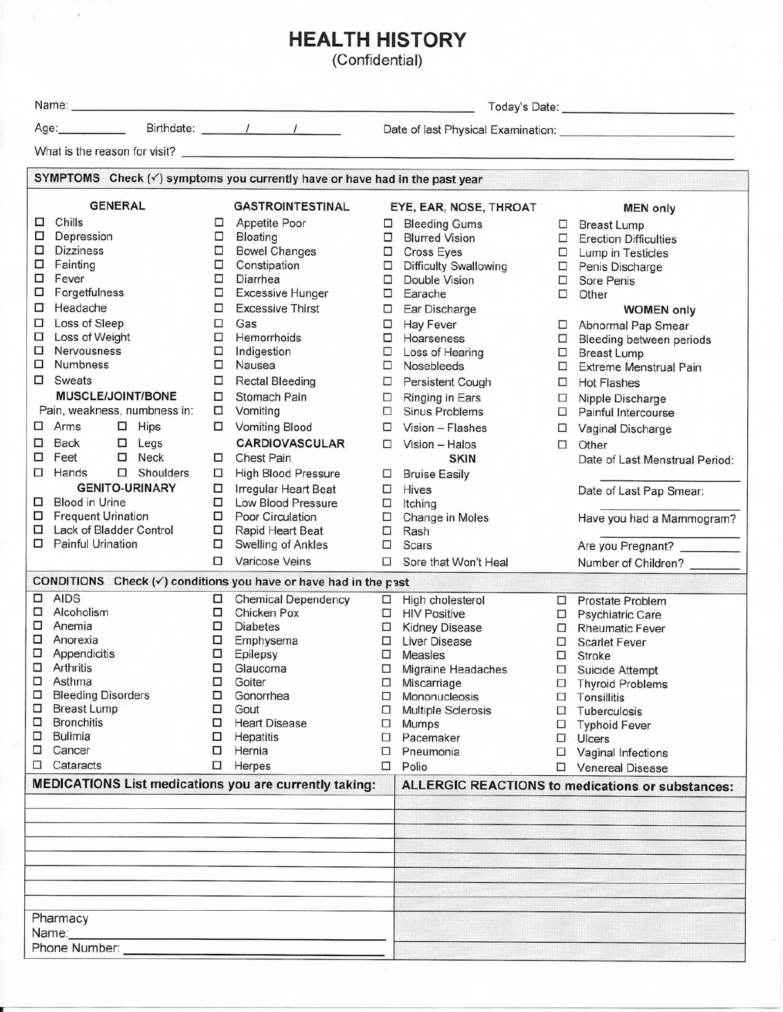## **HEALTH HISTORY**

 $\sim$   $\sigma$ 

Ł.

(Confidential)

| Name:<br><u> 1986 - Andrea Andrew Marie Marie Marie Marie Marie Marie Marie Marie Marie Marie Marie Marie Marie Marie Mari</u> |                                                                                            |   |                                            |                                                         |                                               |        |                                            |  |  |  |
|--------------------------------------------------------------------------------------------------------------------------------|--------------------------------------------------------------------------------------------|---|--------------------------------------------|---------------------------------------------------------|-----------------------------------------------|--------|--------------------------------------------|--|--|--|
| Age:_____________                                                                                                              |                                                                                            |   | Birthdate: 1 / /                           |                                                         |                                               |        |                                            |  |  |  |
|                                                                                                                                | What is the reason for visit? <b>What is the reason for visit?</b>                         |   |                                            |                                                         |                                               |        |                                            |  |  |  |
|                                                                                                                                |                                                                                            |   |                                            |                                                         |                                               |        |                                            |  |  |  |
|                                                                                                                                | SYMPTOMS Check $(\checkmark)$ symptoms you currently have or have had in the past year     |   |                                            |                                                         |                                               |        |                                            |  |  |  |
|                                                                                                                                | <b>GENERAL</b>                                                                             |   | <b>GASTROINTESTINAL</b>                    |                                                         | EYE, EAR, NOSE, THROAT                        |        | <b>MEN only</b>                            |  |  |  |
| □                                                                                                                              | Chills                                                                                     | □ | Appetite Poor                              | □                                                       | <b>Bleeding Gums</b>                          |        | $\Box$ Breast Lump                         |  |  |  |
| □                                                                                                                              | Depression                                                                                 | □ | Bloating                                   | 0                                                       | <b>Blurred Vision</b>                         |        | $\Box$ Erection Difficulties               |  |  |  |
| □                                                                                                                              | <b>Dizziness</b>                                                                           | □ | <b>Bowel Changes</b>                       | $\Box$                                                  | <b>Cross Eyes</b>                             | $\Box$ | Lump in Testicles                          |  |  |  |
| □                                                                                                                              | Fainting                                                                                   | □ | Constipation                               | □                                                       | <b>Difficulty Swallowing</b>                  | 0      | Penis Discharge                            |  |  |  |
| □                                                                                                                              | Fever                                                                                      | □ | Diarrhea                                   | □                                                       | Double Vision                                 | $\Box$ | Sore Penis                                 |  |  |  |
| □                                                                                                                              | Forgetfulness                                                                              | □ | <b>Excessive Hunger</b>                    | □                                                       | Earache                                       | $\Box$ | Other                                      |  |  |  |
| □                                                                                                                              | Headache                                                                                   | □ | <b>Excessive Thirst</b>                    | □                                                       | Ear Discharge                                 |        | <b>WOMEN only</b>                          |  |  |  |
| □                                                                                                                              | Loss of Sleep                                                                              | □ | Gas                                        | $\Box$                                                  | <b>Hay Fever</b>                              | □      | Abnormal Pap Smear                         |  |  |  |
| □                                                                                                                              | Loss of Weight                                                                             | □ | Hemorrhoids                                | $\Box$                                                  | Hoarseness                                    | 0      | Bleeding between periods                   |  |  |  |
| □                                                                                                                              | Nervousness                                                                                | □ | Indigestion                                | □                                                       | Loss of Hearing                               | □      | <b>Breast Lump</b>                         |  |  |  |
| □                                                                                                                              | <b>Numbness</b>                                                                            | □ | Nausea                                     | □                                                       | Nosebleeds                                    | □      | <b>Extreme Menstrual Pain</b>              |  |  |  |
| □                                                                                                                              | Sweats                                                                                     | □ | <b>Rectal Bleeding</b>                     | □                                                       | Persistent Cough                              | □      | <b>Hot Flashes</b>                         |  |  |  |
|                                                                                                                                | <b>MUSCLE/JOINT/BONE</b>                                                                   | □ | Stomach Pain                               | □                                                       | Ringing in Ears                               | □      | Nipple Discharge                           |  |  |  |
|                                                                                                                                | Pain, weakness, numbness in:                                                               | □ | Vomiting                                   | □                                                       | <b>Sinus Problems</b>                         | □      | Painful Intercourse                        |  |  |  |
| □                                                                                                                              | Arms<br>$\Box$ Hips                                                                        | □ | <b>Vomiting Blood</b>                      | □                                                       | Vision - Flashes                              | □      | Vaginal Discharge                          |  |  |  |
| □                                                                                                                              | <b>Back</b><br>$\Box$ Legs                                                                 |   | <b>CARDIOVASCULAR</b>                      | □                                                       | Vision - Halos                                | □      | Other                                      |  |  |  |
| □                                                                                                                              | Feet<br>$\square$ Neck                                                                     | □ | <b>Chest Pain</b>                          |                                                         | <b>SKIN</b>                                   |        | Date of Last Menstrual Period:             |  |  |  |
| □                                                                                                                              | $\square$ Shoulders<br>Hands                                                               | □ | <b>High Blood Pressure</b>                 |                                                         |                                               |        |                                            |  |  |  |
|                                                                                                                                | <b>GENITO-URINARY</b>                                                                      | □ |                                            | □                                                       | <b>Bruise Easily</b>                          |        |                                            |  |  |  |
| □                                                                                                                              | <b>Blood in Urine</b>                                                                      | □ | Irregular Heart Beat<br>Low Blood Pressure | □                                                       | Hives                                         |        | Date of Last Pap Smear:                    |  |  |  |
| □                                                                                                                              | <b>Frequent Urination</b>                                                                  | □ | Poor Circulation                           | □<br>□                                                  | Itching                                       |        |                                            |  |  |  |
| □                                                                                                                              | Lack of Bladder Control                                                                    | □ | Rapid Heart Beat                           | □                                                       | Change in Moles<br>Rash                       |        | Have you had a Mammogram?                  |  |  |  |
| □                                                                                                                              | <b>Painful Urination</b>                                                                   | □ | Swelling of Ankles                         | □                                                       | Scars                                         |        | Are you Pregnant?                          |  |  |  |
|                                                                                                                                |                                                                                            | □ | Varicose Veins                             |                                                         |                                               |        |                                            |  |  |  |
|                                                                                                                                |                                                                                            |   |                                            | □                                                       | Sore that Won't Heal                          |        | Number of Children?                        |  |  |  |
|                                                                                                                                | CONDITIONS Check $(\checkmark)$ conditions you have or have had in the past<br><b>AIDS</b> |   |                                            |                                                         |                                               |        |                                            |  |  |  |
| □<br>□                                                                                                                         | Alcoholism                                                                                 | □ | <b>Chemical Dependency</b><br>Chicken Pox  | $\Box$                                                  | High cholesterol                              |        | □ Prostate Problem                         |  |  |  |
| □                                                                                                                              | Anemia                                                                                     | □ | <b>Diabetes</b>                            | □                                                       | <b>HIV Positive</b>                           |        | Psychiatric Care                           |  |  |  |
| □                                                                                                                              | Anorexia                                                                                   | □ | Emphysema                                  | □<br>□                                                  | <b>Kidney Disease</b><br><b>Liver Disease</b> |        | □ Rheumatic Fever                          |  |  |  |
| □                                                                                                                              | Appendicitis                                                                               | □ | Epilepsy                                   | □                                                       | Measles                                       | □<br>□ | <b>Scarlet Fever</b>                       |  |  |  |
| □                                                                                                                              | Arthritis                                                                                  | □ | Glaucoma                                   | □                                                       | Migraine Headaches                            |        | Stroke                                     |  |  |  |
| □                                                                                                                              | Asthma                                                                                     | ◻ | Goiter                                     | □                                                       | Miscarriage                                   | □      | Suicide Attempt<br><b>Thyroid Problems</b> |  |  |  |
| □                                                                                                                              | <b>Bleeding Disorders</b>                                                                  | □ | Gonorrhea                                  | □                                                       | Mononucleosis                                 | □      | Tonsillitis                                |  |  |  |
| □                                                                                                                              | <b>Breast Lump</b>                                                                         | □ | Gout                                       | □                                                       | <b>Multiple Sclerosis</b>                     | □      | Tuberculosis                               |  |  |  |
| □                                                                                                                              | <b>Bronchitis</b>                                                                          | □ | <b>Heart Disease</b>                       | □                                                       | Mumps                                         | □      | <b>Typhoid Fever</b>                       |  |  |  |
| □                                                                                                                              | <b>Bulimia</b>                                                                             | □ | Hepatitis                                  | □                                                       | Pacemaker                                     | □      | Ulcers                                     |  |  |  |
| □                                                                                                                              | Cancer                                                                                     | □ | Hernia                                     | ◻                                                       | Pneumonia                                     | □      | Vaginal Infections                         |  |  |  |
| □                                                                                                                              | Cataracts                                                                                  | □ | Herpes                                     | □                                                       | Polio                                         | □      | <b>Venereal Disease</b>                    |  |  |  |
|                                                                                                                                | <b>MEDICATIONS List medications you are currently taking:</b>                              |   |                                            | <b>ALLERGIC REACTIONS to medications or substances:</b> |                                               |        |                                            |  |  |  |
|                                                                                                                                |                                                                                            |   |                                            |                                                         |                                               |        |                                            |  |  |  |
|                                                                                                                                |                                                                                            |   |                                            |                                                         |                                               |        |                                            |  |  |  |
|                                                                                                                                |                                                                                            |   |                                            |                                                         |                                               |        |                                            |  |  |  |
|                                                                                                                                |                                                                                            |   |                                            |                                                         |                                               |        |                                            |  |  |  |
|                                                                                                                                |                                                                                            |   |                                            |                                                         |                                               |        |                                            |  |  |  |
|                                                                                                                                |                                                                                            |   |                                            |                                                         |                                               |        |                                            |  |  |  |
|                                                                                                                                |                                                                                            |   |                                            |                                                         |                                               |        |                                            |  |  |  |
| Pharmacy                                                                                                                       |                                                                                            |   |                                            |                                                         |                                               |        |                                            |  |  |  |
|                                                                                                                                | Name:                                                                                      |   |                                            |                                                         |                                               |        |                                            |  |  |  |
|                                                                                                                                | Phone Number:                                                                              |   |                                            |                                                         |                                               |        |                                            |  |  |  |
|                                                                                                                                |                                                                                            |   |                                            |                                                         |                                               |        |                                            |  |  |  |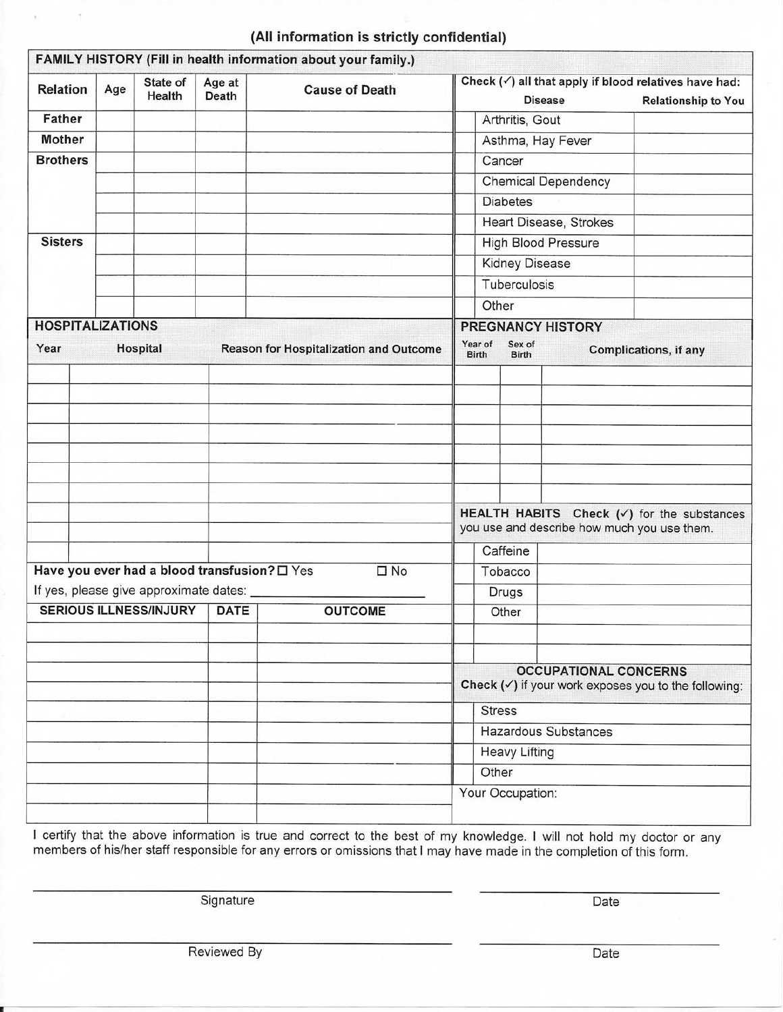| <b>Relation</b>                                            | Age                                                  | State of<br>Health | Age at<br>Death | <b>Cause of Death</b>  |                                                                                                      | Check $(\checkmark)$ all that apply if blood relatives have had: |                          |                              |                                                                 |  |  |
|------------------------------------------------------------|------------------------------------------------------|--------------------|-----------------|------------------------|------------------------------------------------------------------------------------------------------|------------------------------------------------------------------|--------------------------|------------------------------|-----------------------------------------------------------------|--|--|
|                                                            |                                                      |                    |                 |                        |                                                                                                      |                                                                  | <b>Disease</b>           |                              | <b>Relationship to You</b>                                      |  |  |
| <b>Father</b>                                              |                                                      |                    |                 |                        | Arthritis, Gout                                                                                      |                                                                  |                          |                              |                                                                 |  |  |
| <b>Mother</b>                                              |                                                      |                    |                 |                        |                                                                                                      |                                                                  |                          | Asthma, Hay Fever            |                                                                 |  |  |
| <b>Brothers</b>                                            |                                                      |                    |                 |                        | Cancer                                                                                               |                                                                  |                          |                              |                                                                 |  |  |
|                                                            |                                                      |                    |                 |                        | <b>Chemical Dependency</b><br><b>Diabetes</b>                                                        |                                                                  |                          |                              |                                                                 |  |  |
|                                                            |                                                      |                    |                 |                        |                                                                                                      |                                                                  |                          |                              |                                                                 |  |  |
|                                                            |                                                      |                    |                 |                        |                                                                                                      | Heart Disease, Strokes                                           |                          |                              |                                                                 |  |  |
| <b>Sisters</b>                                             |                                                      |                    |                 |                        | <b>High Blood Pressure</b>                                                                           |                                                                  |                          |                              |                                                                 |  |  |
|                                                            |                                                      |                    |                 |                        | Kidney Disease                                                                                       |                                                                  |                          |                              |                                                                 |  |  |
|                                                            |                                                      |                    |                 |                        |                                                                                                      | Tuberculosis                                                     |                          |                              |                                                                 |  |  |
|                                                            |                                                      |                    |                 |                        |                                                                                                      | Other                                                            |                          |                              |                                                                 |  |  |
|                                                            | <b>HOSPITALIZATIONS</b>                              |                    |                 |                        |                                                                                                      |                                                                  | <b>PREGNANCY HISTORY</b> |                              |                                                                 |  |  |
| Year<br>Hospital<br>Reason for Hospitalization and Outcome |                                                      |                    |                 |                        |                                                                                                      |                                                                  | Sex of<br><b>Birth</b>   |                              | Complications, if any                                           |  |  |
|                                                            |                                                      |                    |                 |                        |                                                                                                      |                                                                  |                          |                              |                                                                 |  |  |
|                                                            |                                                      |                    |                 |                        |                                                                                                      |                                                                  |                          |                              |                                                                 |  |  |
|                                                            |                                                      |                    |                 |                        |                                                                                                      |                                                                  |                          |                              |                                                                 |  |  |
|                                                            |                                                      |                    |                 |                        |                                                                                                      |                                                                  |                          |                              |                                                                 |  |  |
|                                                            |                                                      |                    |                 |                        |                                                                                                      |                                                                  |                          |                              |                                                                 |  |  |
|                                                            |                                                      |                    |                 |                        |                                                                                                      |                                                                  |                          |                              |                                                                 |  |  |
|                                                            |                                                      |                    |                 |                        |                                                                                                      |                                                                  |                          |                              |                                                                 |  |  |
|                                                            |                                                      |                    |                 |                        |                                                                                                      |                                                                  |                          |                              |                                                                 |  |  |
|                                                            |                                                      |                    |                 |                        | HEALTH HABITS Check $(\checkmark)$ for the substances<br>you use and describe how much you use them. |                                                                  |                          |                              |                                                                 |  |  |
|                                                            |                                                      |                    |                 |                        | Caffeine                                                                                             |                                                                  |                          |                              |                                                                 |  |  |
|                                                            | Have you ever had a blood transfusion? $\square$ Yes |                    |                 |                        |                                                                                                      |                                                                  |                          |                              |                                                                 |  |  |
|                                                            |                                                      |                    |                 | $\square$ No           |                                                                                                      |                                                                  | Tobacco                  |                              |                                                                 |  |  |
| If yes, please give approximate dates:                     |                                                      |                    |                 |                        |                                                                                                      |                                                                  | Drugs                    |                              |                                                                 |  |  |
|                                                            | <b>SERIOUS ILLNESS/INJURY</b>                        |                    |                 | DATE<br><b>OUTCOME</b> |                                                                                                      |                                                                  | Other                    |                              |                                                                 |  |  |
|                                                            |                                                      |                    |                 |                        |                                                                                                      |                                                                  |                          |                              |                                                                 |  |  |
|                                                            |                                                      |                    |                 |                        |                                                                                                      |                                                                  |                          |                              |                                                                 |  |  |
|                                                            |                                                      |                    |                 |                        |                                                                                                      |                                                                  |                          |                              |                                                                 |  |  |
|                                                            |                                                      |                    |                 |                        |                                                                                                      |                                                                  |                          | <b>OCCUPATIONAL CONCERNS</b> |                                                                 |  |  |
|                                                            |                                                      |                    |                 |                        |                                                                                                      | <b>Stress</b>                                                    |                          |                              |                                                                 |  |  |
|                                                            |                                                      |                    |                 |                        |                                                                                                      |                                                                  |                          | <b>Hazardous Substances</b>  |                                                                 |  |  |
|                                                            |                                                      |                    |                 |                        |                                                                                                      |                                                                  | <b>Heavy Lifting</b>     |                              | Check $(\checkmark)$ if your work exposes you to the following: |  |  |
|                                                            |                                                      |                    |                 |                        |                                                                                                      | Other                                                            |                          |                              |                                                                 |  |  |

## (All information is strictly confidential) u.

I certify that the above information is true and correct to the best of my knowledge. I will not hold my doctor or any members of his/her staff responsible for any errors or omissions that I may have made in the completion

Signature

Date

Reviewed By

Date